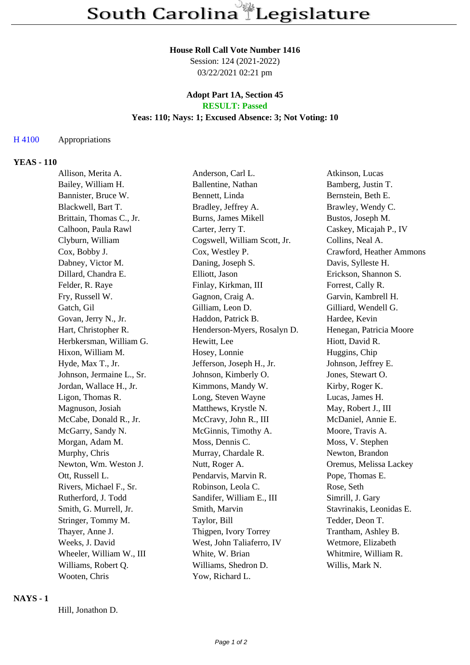#### **House Roll Call Vote Number 1416**

Session: 124 (2021-2022) 03/22/2021 02:21 pm

### **Adopt Part 1A, Section 45 RESULT: Passed**

# **Yeas: 110; Nays: 1; Excused Absence: 3; Not Voting: 10**

### H 4100 Appropriations

### **YEAS - 110**

| Allison, Merita A.        | Anderson, Carl L.            | Atkinson, Lucas          |
|---------------------------|------------------------------|--------------------------|
| Bailey, William H.        | Ballentine, Nathan           | Bamberg, Justin T.       |
| Bannister, Bruce W.       | Bennett, Linda               | Bernstein, Beth E.       |
| Blackwell, Bart T.        | Bradley, Jeffrey A.          | Brawley, Wendy C.        |
| Brittain, Thomas C., Jr.  | Burns, James Mikell          | Bustos, Joseph M.        |
| Calhoon, Paula Rawl       | Carter, Jerry T.             | Caskey, Micajah P., IV   |
| Clyburn, William          | Cogswell, William Scott, Jr. | Collins, Neal A.         |
| Cox, Bobby J.             | Cox, Westley P.              | Crawford, Heather Ammons |
| Dabney, Victor M.         | Daning, Joseph S.            | Davis, Sylleste H.       |
| Dillard, Chandra E.       | Elliott, Jason               | Erickson, Shannon S.     |
| Felder, R. Raye           | Finlay, Kirkman, III         | Forrest, Cally R.        |
| Fry, Russell W.           | Gagnon, Craig A.             | Garvin, Kambrell H.      |
| Gatch, Gil                | Gilliam, Leon D.             | Gilliard, Wendell G.     |
| Govan, Jerry N., Jr.      | Haddon, Patrick B.           | Hardee, Kevin            |
| Hart, Christopher R.      | Henderson-Myers, Rosalyn D.  | Henegan, Patricia Moore  |
| Herbkersman, William G.   | Hewitt, Lee                  | Hiott, David R.          |
| Hixon, William M.         | Hosey, Lonnie                | Huggins, Chip            |
| Hyde, Max T., Jr.         | Jefferson, Joseph H., Jr.    | Johnson, Jeffrey E.      |
| Johnson, Jermaine L., Sr. | Johnson, Kimberly O.         | Jones, Stewart O.        |
| Jordan, Wallace H., Jr.   | Kimmons, Mandy W.            | Kirby, Roger K.          |
| Ligon, Thomas R.          | Long, Steven Wayne           | Lucas, James H.          |
| Magnuson, Josiah          | Matthews, Krystle N.         | May, Robert J., III      |
| McCabe, Donald R., Jr.    | McCravy, John R., III        | McDaniel, Annie E.       |
| McGarry, Sandy N.         | McGinnis, Timothy A.         | Moore, Travis A.         |
| Morgan, Adam M.           | Moss, Dennis C.              | Moss, V. Stephen         |
| Murphy, Chris             | Murray, Chardale R.          | Newton, Brandon          |
| Newton, Wm. Weston J.     | Nutt, Roger A.               | Oremus, Melissa Lackey   |
| Ott, Russell L.           | Pendarvis, Marvin R.         | Pope, Thomas E.          |
| Rivers, Michael F., Sr.   | Robinson, Leola C.           | Rose, Seth               |
| Rutherford, J. Todd       | Sandifer, William E., III    | Simrill, J. Gary         |
| Smith, G. Murrell, Jr.    | Smith, Marvin                | Stavrinakis, Leonidas E. |
| Stringer, Tommy M.        | Taylor, Bill                 | Tedder, Deon T.          |
| Thayer, Anne J.           | Thigpen, Ivory Torrey        | Trantham, Ashley B.      |
| Weeks, J. David           | West, John Taliaferro, IV    | Wetmore, Elizabeth       |
| Wheeler, William W., III  | White, W. Brian              | Whitmire, William R.     |
| Williams, Robert Q.       | Williams, Shedron D.         | Willis, Mark N.          |
| Wooten, Chris             | Yow, Richard L.              |                          |

#### **NAYS - 1**

Hill, Jonathon D.